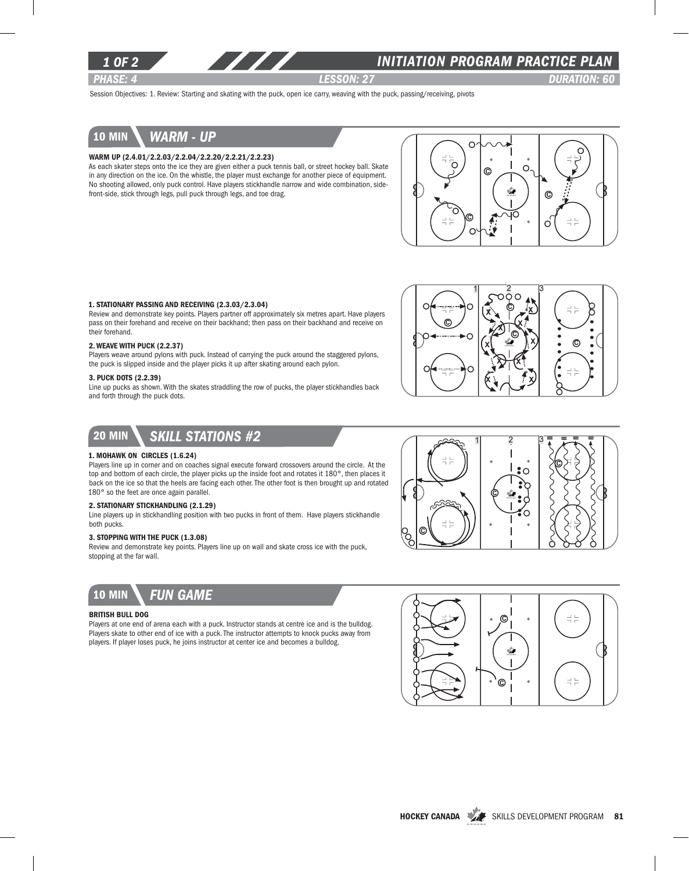

### *INITIATION program PRACTICE PLAN*

*PHASE: 4 lesson: 27 DURATION: 60* 

Session Objectives: 1. Review: Starting and skating with the puck, open ice carry, weaving with the puck, passing/receiving, pivots

# 10 min *warm - up*

#### Warm up (2.4.01/2.2.03/2.2.04/2.2.20/2.2.21/2.2.23)

As each skater steps onto the ice they are given either a puck tennis ball, or street hockey ball. Skate in any direction on the ice. On the whistle, the player must exchange for another piece of equipment. No shooting allowed, only puck control. Have players stickhandle narrow and wide combination, sidefront-side, stick through legs, pull puck through legs, and toe drag.



### 1. Stationary Passing and Receiving (2.3.03/2.3.04)

Review and demonstrate key points. Players partner off approximately six metres apart. Have players pass on their forehand and receive on their backhand; then pass on their backhand and receive on their forehand.

#### 2. Weave with Puck (2.2.37)

Players weave around pylons with puck. Instead of carrying the puck around the staggered pylons, the puck is slipped inside and the player picks it up after skating around each pylon.

#### 3. PUCK DOTS (2.2.39)

Line up pucks as shown. With the skates straddling the row of pucks, the player stickhandles back and forth through the puck dots.



 $1 \quad 2 \quad 3$ 

C



### 1. Mohawk on Circles (1.6.24)

Players line up in corner and on coaches signal execute forward crossovers around the circle. At the top and bottom of each circle, the player picks up the inside foot and rotates it 180°, then places it back on the ice so that the heels are facing each other. The other foot is then brought up and rotated 180° so the feet are once again parallel.

### 2. Stationary Stickhandling (2.1.29)

Line players up in stickhandling position with two pucks in front of them. Have players stickhandle both pucks.

### 3. Stopping with the Puck (1.3.08)

Review and demonstrate key points. Players line up on wall and skate cross ice with the puck, stopping at the far wall.



### British Bull Dog

Players at one end of arena each with a puck. Instructor stands at centre ice and is the bulldog. Players skate to other end of ice with a puck. The instructor attempts to knock pucks away from players. If player loses puck, he joins instructor at center ice and becomes a bulldog.



C

C

P<br>Po